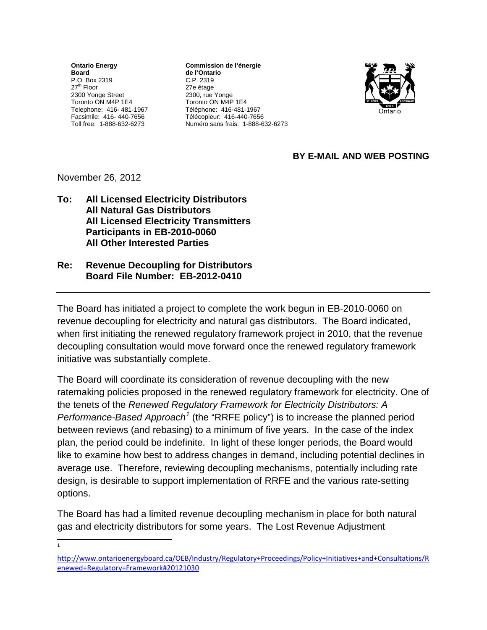**Ontario Energy Board** P.O. Box 2319 27<sup>th</sup> Floor 2300 Yonge Street Toronto ON M4P 1E4 Telephone: 416- 481-1967 Facsimile: 416- 440-7656 Toll free: 1-888-632-6273

**Commission de l'énergie de l'Ontario** C.P. 2319 27e étage 2300, rue Yonge Toronto ON M4P 1E4 Téléphone: 416-481-1967 Télécopieur: 416-440-7656 Numéro sans frais: 1-888-632-6273



## **BY E-MAIL AND WEB POSTING**

## November 26, 2012

**To: All Licensed Electricity Distributors All Natural Gas Distributors All Licensed Electricity Transmitters Participants in EB-2010-0060 All Other Interested Parties** 

## **Re: Revenue Decoupling for Distributors Board File Number: EB-2012-0410**

The Board has initiated a project to complete the work begun in EB-2010-0060 on revenue decoupling for electricity and natural gas distributors. The Board indicated, when first initiating the renewed regulatory framework project in 2010, that the revenue decoupling consultation would move forward once the renewed regulatory framework initiative was substantially complete.

The Board will coordinate its consideration of revenue decoupling with the new ratemaking policies proposed in the renewed regulatory framework for electricity. One of the tenets of the *Renewed Regulatory Framework for Electricity Distributors: A Performance-Based Approach[1](#page-0-0)* (the "RRFE policy") is to increase the planned period between reviews (and rebasing) to a minimum of five years. In the case of the index plan, the period could be indefinite. In light of these longer periods, the Board would like to examine how best to address changes in demand, including potential declines in average use. Therefore, reviewing decoupling mechanisms, potentially including rate design, is desirable to support implementation of RRFE and the various rate-setting options.

The Board has had a limited revenue decoupling mechanism in place for both natural gas and electricity distributors for some years. The Lost Revenue Adjustment

 $\frac{1}{1}$ 

<span id="page-0-0"></span>[http://www.ontarioenergyboard.ca/OEB/Industry/Regulatory+Proceedings/Policy+Initiatives+and+Consultations/R](http://www.ontarioenergyboard.ca/OEB/Industry/Regulatory+Proceedings/Policy+Initiatives+and+Consultations/Renewed+Regulatory+Framework#20121030) [enewed+Regulatory+Framework#20121030](http://www.ontarioenergyboard.ca/OEB/Industry/Regulatory+Proceedings/Policy+Initiatives+and+Consultations/Renewed+Regulatory+Framework#20121030)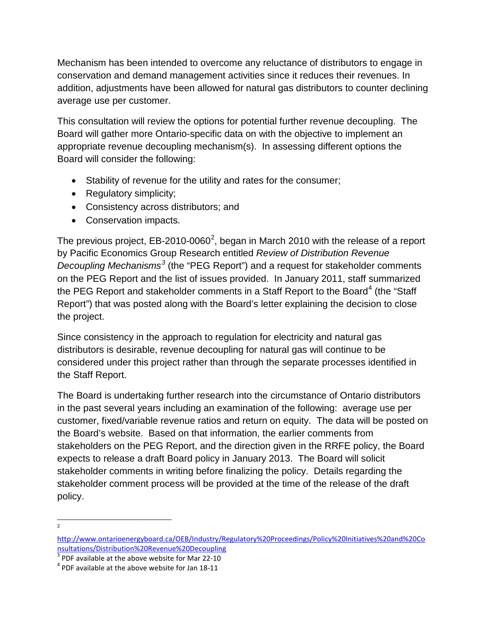Mechanism has been intended to overcome any reluctance of distributors to engage in conservation and demand management activities since it reduces their revenues. In addition, adjustments have been allowed for natural gas distributors to counter declining average use per customer.

This consultation will review the options for potential further revenue decoupling. The Board will gather more Ontario-specific data on with the objective to implement an appropriate revenue decoupling mechanism(s). In assessing different options the Board will consider the following:

- Stability of revenue for the utility and rates for the consumer;
- Regulatory simplicity;
- Consistency across distributors; and
- Conservation impacts.

The previous project, EB-[2](#page-1-0)010-0060<sup>2</sup>, began in March 2010 with the release of a report by Pacific Economics Group Research entitled *Review of Distribution Revenue Decoupling Mechanisms[3](#page-1-1)* (the "PEG Report") and a request for stakeholder comments on the PEG Report and the list of issues provided. In January 2011, staff summarized the PEG Report and stakeholder comments in a Staff Report to the Board<sup>[4](#page-1-2)</sup> (the "Staff Report") that was posted along with the Board's letter explaining the decision to close the project.

Since consistency in the approach to regulation for electricity and natural gas distributors is desirable, revenue decoupling for natural gas will continue to be considered under this project rather than through the separate processes identified in the Staff Report.

The Board is undertaking further research into the circumstance of Ontario distributors in the past several years including an examination of the following: average use per customer, fixed/variable revenue ratios and return on equity. The data will be posted on the Board's website. Based on that information, the earlier comments from stakeholders on the PEG Report, and the direction given in the RRFE policy, the Board expects to release a draft Board policy in January 2013. The Board will solicit stakeholder comments in writing before finalizing the policy. Details regarding the stakeholder comment process will be provided at the time of the release of the draft policy.

 $\overline{2}$  $\overline{2}$ 

<span id="page-1-0"></span>[http://www.ontarioenergyboard.ca/OEB/Industry/Regulatory%20Proceedings/Policy%20Initiatives%20and%20Co](http://www.ontarioenergyboard.ca/OEB/Industry/Regulatory%20Proceedings/Policy%20Initiatives%20and%20Consultations/Distribution%20Revenue%20Decoupling) [nsultations/Distribution%20Revenue%20Decoupling](http://www.ontarioenergyboard.ca/OEB/Industry/Regulatory%20Proceedings/Policy%20Initiatives%20and%20Consultations/Distribution%20Revenue%20Decoupling)

<span id="page-1-1"></span> $3$  PDF available at the above website for Mar 22-10<br> $4$  PDF available at the above website for Jan 18-11

<span id="page-1-2"></span>